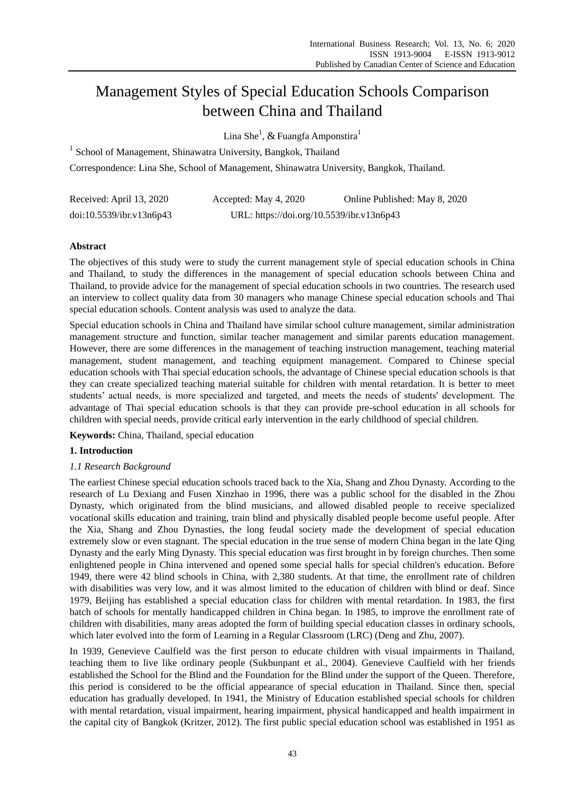# Management Styles of Special Education Schools Comparison between China and Thailand

Lina She $^{\rm l}$ ,  $\&$  Fuangfa Amponstira $^{\rm l}$ 

<sup>1</sup> School of Management, Shinawatra University, Bangkok, Thailand

Correspondence: Lina She, School of Management, Shinawatra University, Bangkok, Thailand.

| Received: April 13, 2020 | Accepted: May 4, 2020                     | Online Published: May 8, 2020 |
|--------------------------|-------------------------------------------|-------------------------------|
| doi:10.5539/ibr.v13n6p43 | URL: https://doi.org/10.5539/ibr.v13n6p43 |                               |

# **Abstract**

The objectives of this study were to study the current management style of special education schools in China and Thailand, to study the differences in the management of special education schools between China and Thailand, to provide advice for the management of special education schools in two countries. The research used an interview to collect quality data from 30 managers who manage Chinese special education schools and Thai special education schools. Content analysis was used to analyze the data.

Special education schools in China and Thailand have similar school culture management, similar administration management structure and function, similar teacher management and similar parents education management. However, there are some differences in the management of teaching instruction management, teaching material management, student management, and teaching equipment management. Compared to Chinese special education schools with Thai special education schools, the advantage of Chinese special education schools is that they can create specialized teaching material suitable for children with mental retardation. It is better to meet students' actual needs, is more specialized and targeted, and meets the needs of students' development. The advantage of Thai special education schools is that they can provide pre-school education in all schools for children with special needs, provide critical early intervention in the early childhood of special children.

**Keywords:** China, Thailand, special education

# **1. Introduction**

# *1.1 Research Background*

The earliest Chinese special education schools traced back to the Xia, Shang and Zhou Dynasty. According to the research of Lu Dexiang and Fusen Xinzhao in 1996, there was a public school for the disabled in the Zhou Dynasty, which originated from the blind musicians, and allowed disabled people to receive specialized vocational skills education and training, train blind and physically disabled people become useful people. After the Xia, Shang and Zhou Dynasties, the long feudal society made the development of special education extremely slow or even stagnant. The special education in the true sense of modern China began in the late Qing Dynasty and the early Ming Dynasty. This special education was first brought in by foreign churches. Then some enlightened people in China intervened and opened some special halls for special children's education. Before 1949, there were 42 blind schools in China, with 2,380 students. At that time, the enrollment rate of children with disabilities was very low, and it was almost limited to the education of children with blind or deaf. Since 1979, Beijing has established a special education class for children with mental retardation. In 1983, the first batch of schools for mentally handicapped children in China began. In 1985, to improve the enrollment rate of children with disabilities, many areas adopted the form of building special education classes in ordinary schools, which later evolved into the form of Learning in a Regular Classroom (LRC) (Deng and Zhu, 2007).

In 1939, Genevieve Caulfield was the first person to educate children with visual impairments in Thailand, teaching them to live like ordinary people (Sukbunpant et al., 2004). Genevieve Caulfield with her friends established the School for the Blind and the Foundation for the Blind under the support of the Queen. Therefore, this period is considered to be the official appearance of special education in Thailand. Since then, special education has gradually developed. In 1941, the Ministry of Education established special schools for children with mental retardation, visual impairment, hearing impairment, physical handicapped and health impairment in the capital city of Bangkok (Kritzer, 2012). The first public special education school was established in 1951 as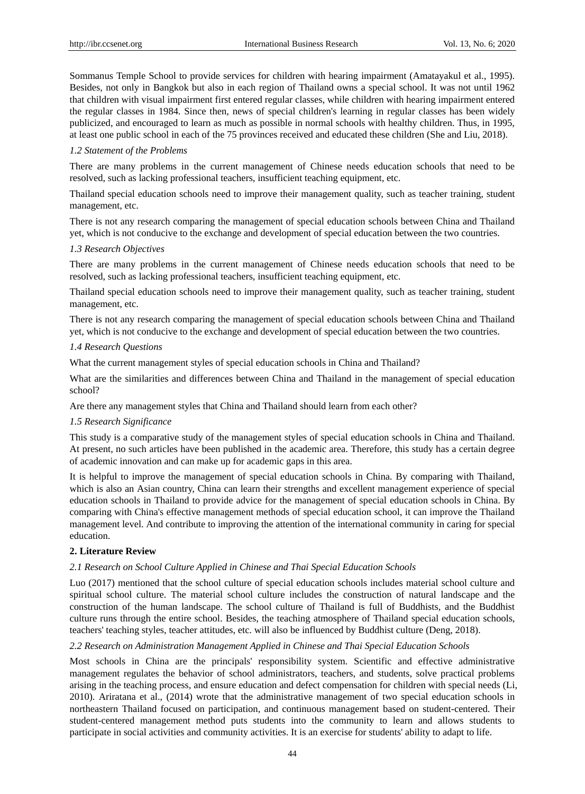Sommanus Temple School to provide services for children with hearing impairment (Amatayakul et al., 1995). Besides, not only in Bangkok but also in each region of Thailand owns a special school. It was not until 1962 that children with visual impairment first entered regular classes, while children with hearing impairment entered the regular classes in 1984. Since then, news of special children's learning in regular classes has been widely publicized, and encouraged to learn as much as possible in normal schools with healthy children. Thus, in 1995, at least one public school in each of the 75 provinces received and educated these children (She and Liu, 2018).

## *1.2 Statement of the Problems*

There are many problems in the current management of Chinese needs education schools that need to be resolved, such as lacking professional teachers, insufficient teaching equipment, etc.

Thailand special education schools need to improve their management quality, such as teacher training, student management, etc.

There is not any research comparing the management of special education schools between China and Thailand yet, which is not conducive to the exchange and development of special education between the two countries.

## *1.3 Research Objectives*

There are many problems in the current management of Chinese needs education schools that need to be resolved, such as lacking professional teachers, insufficient teaching equipment, etc.

Thailand special education schools need to improve their management quality, such as teacher training, student management, etc.

There is not any research comparing the management of special education schools between China and Thailand yet, which is not conducive to the exchange and development of special education between the two countries.

## *1.4 Research Questions*

What the current management styles of special education schools in China and Thailand?

What are the similarities and differences between China and Thailand in the management of special education school?

Are there any management styles that China and Thailand should learn from each other?

## *1.5 Research Significance*

This study is a comparative study of the management styles of special education schools in China and Thailand. At present, no such articles have been published in the academic area. Therefore, this study has a certain degree of academic innovation and can make up for academic gaps in this area.

It is helpful to improve the management of special education schools in China. By comparing with Thailand, which is also an Asian country, China can learn their strengths and excellent management experience of special education schools in Thailand to provide advice for the management of special education schools in China. By comparing with China's effective management methods of special education school, it can improve the Thailand management level. And contribute to improving the attention of the international community in caring for special education.

## **2. Literature Review**

## *2.1 Research on School Culture Applied in Chinese and Thai Special Education Schools*

Luo (2017) mentioned that the school culture of special education schools includes material school culture and spiritual school culture. The material school culture includes the construction of natural landscape and the construction of the human landscape. The school culture of Thailand is full of Buddhists, and the Buddhist culture runs through the entire school. Besides, the teaching atmosphere of Thailand special education schools, teachers' teaching styles, teacher attitudes, etc. will also be influenced by Buddhist culture (Deng, 2018).

## *2.2 Research on Administration Management Applied in Chinese and Thai Special Education Schools*

Most schools in China are the principals' responsibility system. Scientific and effective administrative management regulates the behavior of school administrators, teachers, and students, solve practical problems arising in the teaching process, and ensure education and defect compensation for children with special needs (Li, 2010). Ariratana et al., (2014) wrote that the administrative management of two special education schools in northeastern Thailand focused on participation, and continuous management based on student-centered. Their student-centered management method puts students into the community to learn and allows students to participate in social activities and community activities. It is an exercise for students' ability to adapt to life.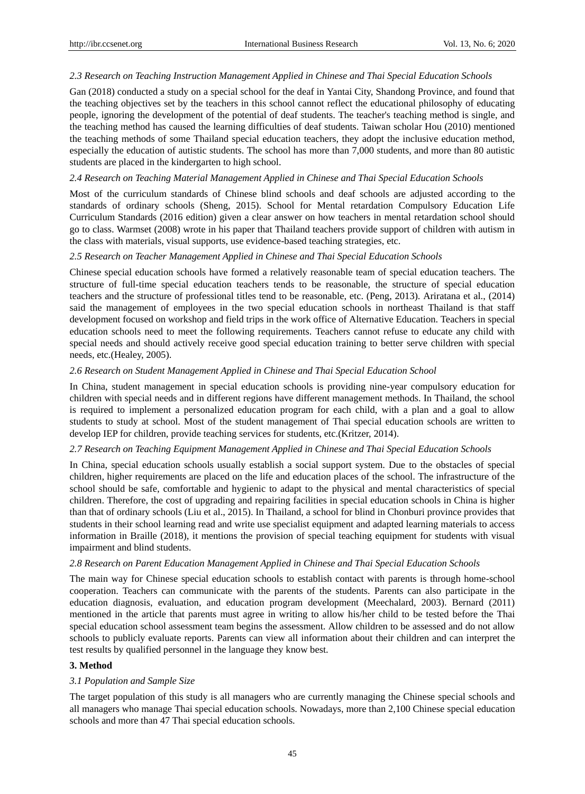## *2.3 Research on Teaching Instruction Management Applied in Chinese and Thai Special Education Schools*

Gan (2018) conducted a study on a special school for the deaf in Yantai City, Shandong Province, and found that the teaching objectives set by the teachers in this school cannot reflect the educational philosophy of educating people, ignoring the development of the potential of deaf students. The teacher's teaching method is single, and the teaching method has caused the learning difficulties of deaf students. Taiwan scholar Hou (2010) mentioned the teaching methods of some Thailand special education teachers, they adopt the inclusive education method, especially the education of autistic students. The school has more than 7,000 students, and more than 80 autistic students are placed in the kindergarten to high school.

## *2.4 Research on Teaching Material Management Applied in Chinese and Thai Special Education Schools*

Most of the curriculum standards of Chinese blind schools and deaf schools are adjusted according to the standards of ordinary schools (Sheng, 2015). School for Mental retardation Compulsory Education Life Curriculum Standards (2016 edition) given a clear answer on how teachers in mental retardation school should go to class. Warmset (2008) wrote in his paper that Thailand teachers provide support of children with autism in the class with materials, visual supports, use evidence-based teaching strategies, etc.

#### *2.5 Research on Teacher Management Applied in Chinese and Thai Special Education Schools*

Chinese special education schools have formed a relatively reasonable team of special education teachers. The structure of full-time special education teachers tends to be reasonable, the structure of special education teachers and the structure of professional titles tend to be reasonable, etc. (Peng, 2013). Ariratana et al., (2014) said the management of employees in the two special education schools in northeast Thailand is that staff development focused on workshop and field trips in the work office of Alternative Education. Teachers in special education schools need to meet the following requirements. Teachers cannot refuse to educate any child with special needs and should actively receive good special education training to better serve children with special needs, etc.(Healey, 2005).

#### *2.6 Research on Student Management Applied in Chinese and Thai Special Education School*

In China, student management in special education schools is providing nine-year compulsory education for children with special needs and in different regions have different management methods. In Thailand, the school is required to implement a personalized education program for each child, with a plan and a goal to allow students to study at school. Most of the student management of Thai special education schools are written to develop IEP for children, provide teaching services for students, etc.(Kritzer, 2014).

## *2.7 Research on Teaching Equipment Management Applied in Chinese and Thai Special Education Schools*

In China, special education schools usually establish a social support system. Due to the obstacles of special children, higher requirements are placed on the life and education places of the school. The infrastructure of the school should be safe, comfortable and hygienic to adapt to the physical and mental characteristics of special children. Therefore, the cost of upgrading and repairing facilities in special education schools in China is higher than that of ordinary schools (Liu et al., 2015). In Thailand, a school for blind in Chonburi province provides that students in their school learning read and write use specialist equipment and adapted learning materials to access information in Braille (2018), it mentions the provision of special teaching equipment for students with visual impairment and blind students.

## *2.8 Research on Parent Education Management Applied in Chinese and Thai Special Education Schools*

The main way for Chinese special education schools to establish contact with parents is through home-school cooperation. Teachers can communicate with the parents of the students. Parents can also participate in the education diagnosis, evaluation, and education program development (Meechalard, 2003). Bernard (2011) mentioned in the article that parents must agree in writing to allow his/her child to be tested before the Thai special education school assessment team begins the assessment. Allow children to be assessed and do not allow schools to publicly evaluate reports. Parents can view all information about their children and can interpret the test results by qualified personnel in the language they know best.

## **3. Method**

## *3.1 Population and Sample Size*

The target population of this study is all managers who are currently managing the Chinese special schools and all managers who manage Thai special education schools. Nowadays, more than 2,100 Chinese special education schools and more than 47 Thai special education schools.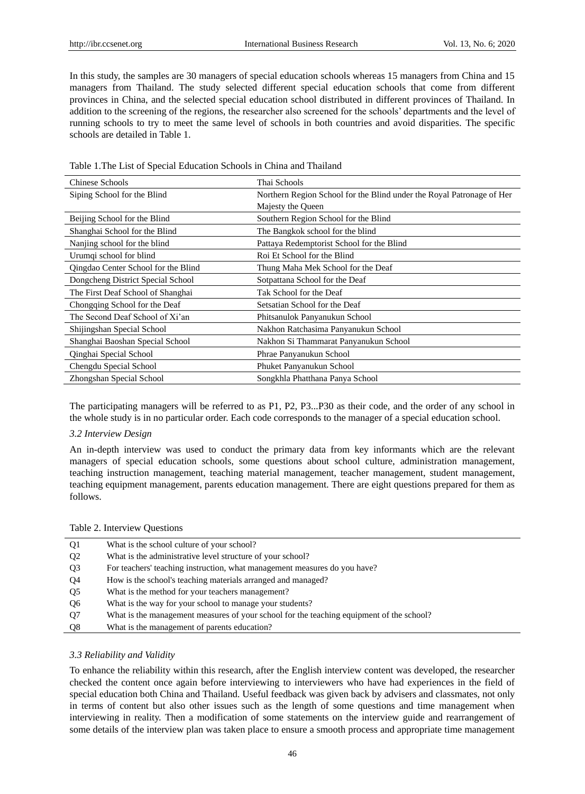In this study, the samples are 30 managers of special education schools whereas 15 managers from China and 15 managers from Thailand. The study selected different special education schools that come from different provinces in China, and the selected special education school distributed in different provinces of Thailand. In addition to the screening of the regions, the researcher also screened for the schools' departments and the level of running schools to try to meet the same level of schools in both countries and avoid disparities. The specific schools are detailed in Table 1.

| Chinese Schools                     | Thai Schools                                                          |
|-------------------------------------|-----------------------------------------------------------------------|
| Siping School for the Blind         | Northern Region School for the Blind under the Royal Patronage of Her |
|                                     | Majesty the Queen                                                     |
| Beijing School for the Blind        | Southern Region School for the Blind                                  |
| Shanghai School for the Blind       | The Bangkok school for the blind                                      |
| Nanjing school for the blind        | Pattaya Redemptorist School for the Blind                             |
| Urumqi school for blind             | Roi Et School for the Blind                                           |
| Qingdao Center School for the Blind | Thung Maha Mek School for the Deaf                                    |
| Dongcheng District Special School   | Sotpattana School for the Deaf                                        |
| The First Deaf School of Shanghai   | Tak School for the Deaf                                               |
| Chongqing School for the Deaf       | Setsatian School for the Deaf                                         |
| The Second Deaf School of Xi'an     | Phitsanulok Panyanukun School                                         |
| Shijingshan Special School          | Nakhon Ratchasima Panyanukun School                                   |
| Shanghai Baoshan Special School     | Nakhon Si Thammarat Panyanukun School                                 |
| Qinghai Special School              | Phrae Panyanukun School                                               |
| Chengdu Special School              | Phuket Panyanukun School                                              |
| Zhongshan Special School            | Songkhla Phatthana Panya School                                       |

Table 1.The List of Special Education Schools in China and Thailand

The participating managers will be referred to as P1, P2, P3...P30 as their code, and the order of any school in the whole study is in no particular order. Each code corresponds to the manager of a special education school.

## *3.2 Interview Design*

An in-depth interview was used to conduct the primary data from key informants which are the relevant managers of special education schools, some questions about school culture, administration management, teaching instruction management, teaching material management, teacher management, student management, teaching equipment management, parents education management. There are eight questions prepared for them as follows.

#### Table 2. Interview Questions

| Q <sub>1</sub> | What is the school culture of your school?                                               |
|----------------|------------------------------------------------------------------------------------------|
| Q <sub>2</sub> | What is the administrative level structure of your school?                               |
| Q <sub>3</sub> | For teachers' teaching instruction, what management measures do you have?                |
| Q4             | How is the school's teaching materials arranged and managed?                             |
| Q <sub>5</sub> | What is the method for your teachers management?                                         |
| Q <sub>6</sub> | What is the way for your school to manage your students?                                 |
| Q <sub>7</sub> | What is the management measures of your school for the teaching equipment of the school? |
| Q8             | What is the management of parents education?                                             |

## *3.3 Reliability and Validity*

To enhance the reliability within this research, after the English interview content was developed, the researcher checked the content once again before interviewing to interviewers who have had experiences in the field of special education both China and Thailand. Useful feedback was given back by advisers and classmates, not only in terms of content but also other issues such as the length of some questions and time management when interviewing in reality. Then a modification of some statements on the interview guide and rearrangement of some details of the interview plan was taken place to ensure a smooth process and appropriate time management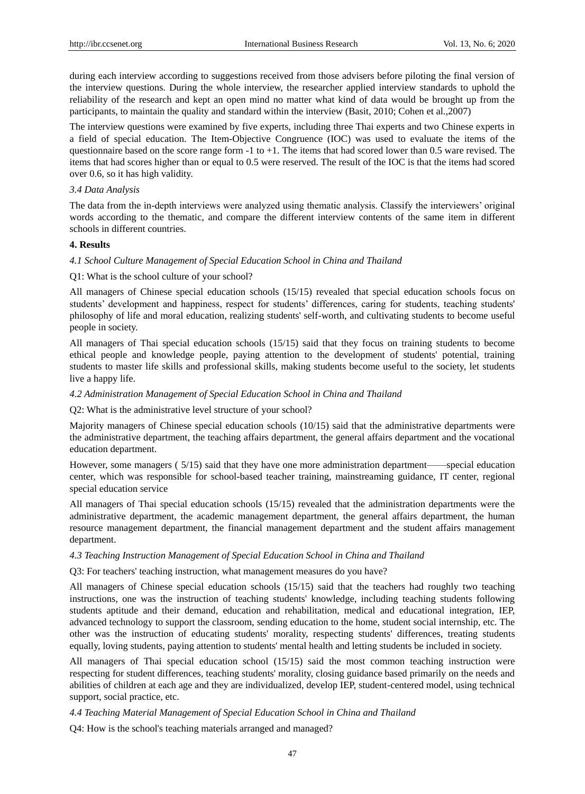during each interview according to suggestions received from those advisers before piloting the final version of the interview questions. During the whole interview, the researcher applied interview standards to uphold the reliability of the research and kept an open mind no matter what kind of data would be brought up from the participants, to maintain the quality and standard within the interview (Basit, 2010; Cohen et al.,2007)

The interview questions were examined by five experts, including three Thai experts and two Chinese experts in a field of special education. The Item-Objective Congruence (IOC) was used to evaluate the items of the questionnaire based on the score range form -1 to +1. The items that had scored lower than 0.5 ware revised. The items that had scores higher than or equal to 0.5 were reserved. The result of the IOC is that the items had scored over 0.6, so it has high validity.

## *3.4 Data Analysis*

The data from the in-depth interviews were analyzed using thematic analysis. Classify the interviewers' original words according to the thematic, and compare the different interview contents of the same item in different schools in different countries.

## **4. Results**

## *4.1 School Culture Management of Special Education School in China and Thailand*

## Q1: What is the school culture of your school?

All managers of Chinese special education schools (15/15) revealed that special education schools focus on students' development and happiness, respect for students' differences, caring for students, teaching students' philosophy of life and moral education, realizing students' self-worth, and cultivating students to become useful people in society.

All managers of Thai special education schools (15/15) said that they focus on training students to become ethical people and knowledge people, paying attention to the development of students' potential, training students to master life skills and professional skills, making students become useful to the society, let students live a happy life.

## *4.2 Administration Management of Special Education School in China and Thailand*

## Q2: What is the administrative level structure of your school?

Majority managers of Chinese special education schools (10/15) said that the administrative departments were the administrative department, the teaching affairs department, the general affairs department and the vocational education department.

However, some managers ( 5/15) said that they have one more administration department——special education center, which was responsible for school-based teacher training, mainstreaming guidance, IT center, regional special education service

All managers of Thai special education schools (15/15) revealed that the administration departments were the administrative department, the academic management department, the general affairs department, the human resource management department, the financial management department and the student affairs management department.

## *4.3 Teaching Instruction Management of Special Education School in China and Thailand*

## Q3: For teachers' teaching instruction, what management measures do you have?

All managers of Chinese special education schools (15/15) said that the teachers had roughly two teaching instructions, one was the instruction of teaching students' knowledge, including teaching students following students aptitude and their demand, education and rehabilitation, medical and educational integration, IEP, advanced technology to support the classroom, sending education to the home, student social internship, etc. The other was the instruction of educating students' morality, respecting students' differences, treating students equally, loving students, paying attention to students' mental health and letting students be included in society.

All managers of Thai special education school (15/15) said the most common teaching instruction were respecting for student differences, teaching students' morality, closing guidance based primarily on the needs and abilities of children at each age and they are individualized, develop IEP, student-centered model, using technical support, social practice, etc.

## *4.4 Teaching Material Management of Special Education School in China and Thailand*

Q4: How is the school's teaching materials arranged and managed?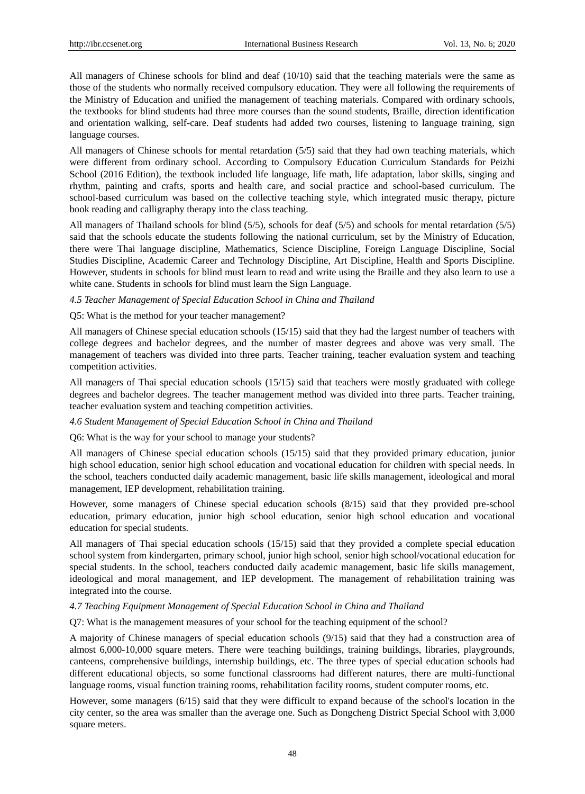All managers of Chinese schools for blind and deaf (10/10) said that the teaching materials were the same as those of the students who normally received compulsory education. They were all following the requirements of the Ministry of Education and unified the management of teaching materials. Compared with ordinary schools, the textbooks for blind students had three more courses than the sound students, Braille, direction identification and orientation walking, self-care. Deaf students had added two courses, listening to language training, sign language courses.

All managers of Chinese schools for mental retardation (5/5) said that they had own teaching materials, which were different from ordinary school. According to Compulsory Education Curriculum Standards for Peizhi School (2016 Edition), the textbook included life language, life math, life adaptation, labor skills, singing and rhythm, painting and crafts, sports and health care, and social practice and school-based curriculum. The school-based curriculum was based on the collective teaching style, which integrated music therapy, picture book reading and calligraphy therapy into the class teaching.

All managers of Thailand schools for blind (5/5), schools for deaf (5/5) and schools for mental retardation (5/5) said that the schools educate the students following the national curriculum, set by the Ministry of Education, there were Thai language discipline, Mathematics, Science Discipline, Foreign Language Discipline, Social Studies Discipline, Academic Career and Technology Discipline, Art Discipline, Health and Sports Discipline. However, students in schools for blind must learn to read and write using the Braille and they also learn to use a white cane. Students in schools for blind must learn the Sign Language.

## *4.5 Teacher Management of Special Education School in China and Thailand*

## Q5: What is the method for your teacher management?

All managers of Chinese special education schools (15/15) said that they had the largest number of teachers with college degrees and bachelor degrees, and the number of master degrees and above was very small. The management of teachers was divided into three parts. Teacher training, teacher evaluation system and teaching competition activities.

All managers of Thai special education schools (15/15) said that teachers were mostly graduated with college degrees and bachelor degrees. The teacher management method was divided into three parts. Teacher training, teacher evaluation system and teaching competition activities.

## *4.6 Student Management of Special Education School in China and Thailand*

Q6: What is the way for your school to manage your students?

All managers of Chinese special education schools (15/15) said that they provided primary education, junior high school education, senior high school education and vocational education for children with special needs. In the school, teachers conducted daily academic management, basic life skills management, ideological and moral management, IEP development, rehabilitation training.

However, some managers of Chinese special education schools (8/15) said that they provided pre-school education, primary education, junior high school education, senior high school education and vocational education for special students.

All managers of Thai special education schools (15/15) said that they provided a complete special education school system from kindergarten, primary school, junior high school, senior high school/vocational education for special students. In the school, teachers conducted daily academic management, basic life skills management, ideological and moral management, and IEP development. The management of rehabilitation training was integrated into the course.

## *4.7 Teaching Equipment Management of Special Education School in China and Thailand*

Q7: What is the management measures of your school for the teaching equipment of the school?

A majority of Chinese managers of special education schools (9/15) said that they had a construction area of almost 6,000-10,000 square meters. There were teaching buildings, training buildings, libraries, playgrounds, canteens, comprehensive buildings, internship buildings, etc. The three types of special education schools had different educational objects, so some functional classrooms had different natures, there are multi-functional language rooms, visual function training rooms, rehabilitation facility rooms, student computer rooms, etc.

However, some managers (6/15) said that they were difficult to expand because of the school's location in the city center, so the area was smaller than the average one. Such as Dongcheng District Special School with 3,000 square meters.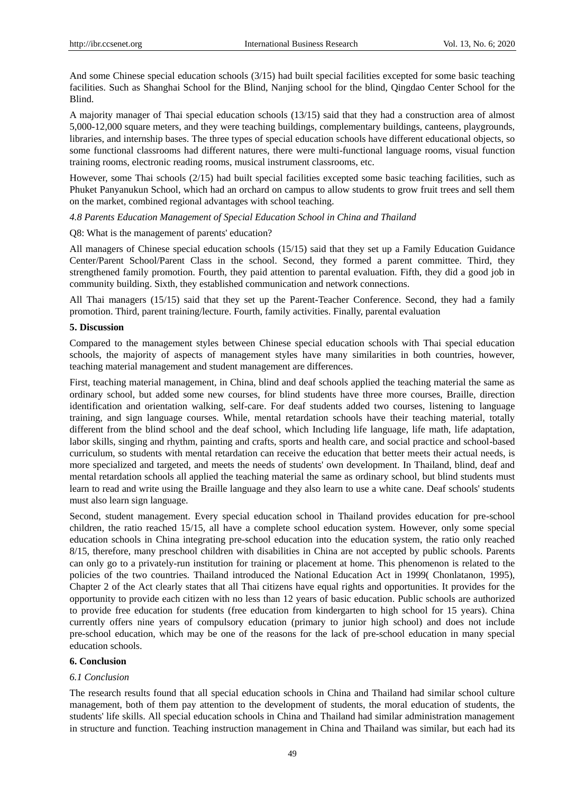And some Chinese special education schools (3/15) had built special facilities excepted for some basic teaching facilities. Such as Shanghai School for the Blind, Nanjing school for the blind, Qingdao Center School for the Blind.

A majority manager of Thai special education schools (13/15) said that they had a construction area of almost 5,000-12,000 square meters, and they were teaching buildings, complementary buildings, canteens, playgrounds, libraries, and internship bases. The three types of special education schools have different educational objects, so some functional classrooms had different natures, there were multi-functional language rooms, visual function training rooms, electronic reading rooms, musical instrument classrooms, etc.

However, some Thai schools (2/15) had built special facilities excepted some basic teaching facilities, such as Phuket Panyanukun School, which had an orchard on campus to allow students to grow fruit trees and sell them on the market, combined regional advantages with school teaching.

*4.8 Parents Education Management of Special Education School in China and Thailand*

Q8: What is the management of parents' education?

All managers of Chinese special education schools (15/15) said that they set up a Family Education Guidance Center/Parent School/Parent Class in the school. Second, they formed a parent committee. Third, they strengthened family promotion. Fourth, they paid attention to parental evaluation. Fifth, they did a good job in community building. Sixth, they established communication and network connections.

All Thai managers (15/15) said that they set up the Parent-Teacher Conference. Second, they had a family promotion. Third, parent training/lecture. Fourth, family activities. Finally, parental evaluation

#### **5. Discussion**

Compared to the management styles between Chinese special education schools with Thai special education schools, the majority of aspects of management styles have many similarities in both countries, however, teaching material management and student management are differences.

First, teaching material management, in China, blind and deaf schools applied the teaching material the same as ordinary school, but added some new courses, for blind students have three more courses, Braille, direction identification and orientation walking, self-care. For deaf students added two courses, listening to language training, and sign language courses. While, mental retardation schools have their teaching material, totally different from the blind school and the deaf school, which Including life language, life math, life adaptation, labor skills, singing and rhythm, painting and crafts, sports and health care, and social practice and school-based curriculum, so students with mental retardation can receive the education that better meets their actual needs, is more specialized and targeted, and meets the needs of students' own development. In Thailand, blind, deaf and mental retardation schools all applied the teaching material the same as ordinary school, but blind students must learn to read and write using the Braille language and they also learn to use a white cane. Deaf schools' students must also learn sign language.

Second, student management. Every special education school in Thailand provides education for pre-school children, the ratio reached 15/15, all have a complete school education system. However, only some special education schools in China integrating pre-school education into the education system, the ratio only reached 8/15, therefore, many preschool children with disabilities in China are not accepted by public schools. Parents can only go to a privately-run institution for training or placement at home. This phenomenon is related to the policies of the two countries. Thailand introduced the National Education Act in 1999( Chonlatanon, 1995), Chapter 2 of the Act clearly states that all Thai citizens have equal rights and opportunities. It provides for the opportunity to provide each citizen with no less than 12 years of basic education. Public schools are authorized to provide free education for students (free education from kindergarten to high school for 15 years). China currently offers nine years of compulsory education (primary to junior high school) and does not include pre-school education, which may be one of the reasons for the lack of pre-school education in many special education schools.

## **6. Conclusion**

## *6.1 Conclusion*

The research results found that all special education schools in China and Thailand had similar school culture management, both of them pay attention to the development of students, the moral education of students, the students' life skills. All special education schools in China and Thailand had similar administration management in structure and function. Teaching instruction management in China and Thailand was similar, but each had its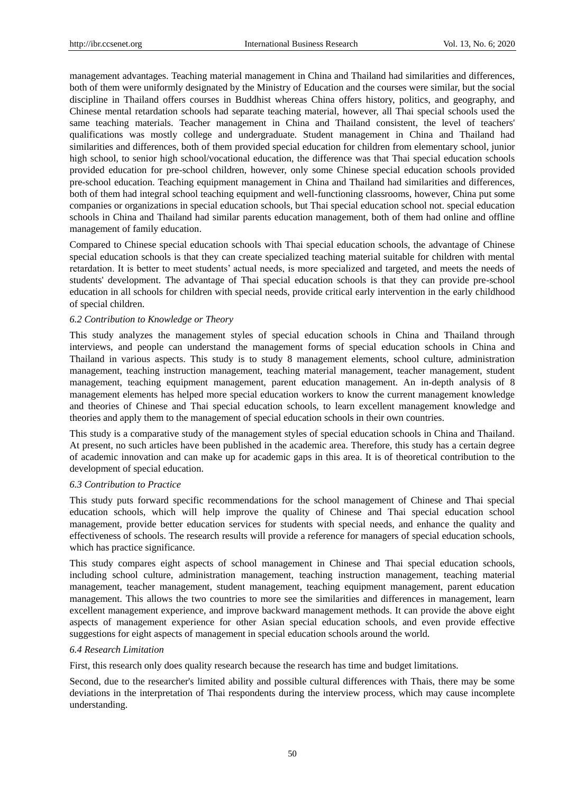management advantages. Teaching material management in China and Thailand had similarities and differences, both of them were uniformly designated by the Ministry of Education and the courses were similar, but the social discipline in Thailand offers courses in Buddhist whereas China offers history, politics, and geography, and Chinese mental retardation schools had separate teaching material, however, all Thai special schools used the same teaching materials. Teacher management in China and Thailand consistent, the level of teachers' qualifications was mostly college and undergraduate. Student management in China and Thailand had similarities and differences, both of them provided special education for children from elementary school, junior high school, to senior high school/vocational education, the difference was that Thai special education schools provided education for pre-school children, however, only some Chinese special education schools provided pre-school education. Teaching equipment management in China and Thailand had similarities and differences, both of them had integral school teaching equipment and well-functioning classrooms, however, China put some companies or organizations in special education schools, but Thai special education school not. special education schools in China and Thailand had similar parents education management, both of them had online and offline management of family education.

Compared to Chinese special education schools with Thai special education schools, the advantage of Chinese special education schools is that they can create specialized teaching material suitable for children with mental retardation. It is better to meet students' actual needs, is more specialized and targeted, and meets the needs of students' development. The advantage of Thai special education schools is that they can provide pre-school education in all schools for children with special needs, provide critical early intervention in the early childhood of special children.

## *6.2 Contribution to Knowledge or Theory*

This study analyzes the management styles of special education schools in China and Thailand through interviews, and people can understand the management forms of special education schools in China and Thailand in various aspects. This study is to study 8 management elements, school culture, administration management, teaching instruction management, teaching material management, teacher management, student management, teaching equipment management, parent education management. An in-depth analysis of 8 management elements has helped more special education workers to know the current management knowledge and theories of Chinese and Thai special education schools, to learn excellent management knowledge and theories and apply them to the management of special education schools in their own countries.

This study is a comparative study of the management styles of special education schools in China and Thailand. At present, no such articles have been published in the academic area. Therefore, this study has a certain degree of academic innovation and can make up for academic gaps in this area. It is of theoretical contribution to the development of special education.

#### *6.3 Contribution to Practice*

This study puts forward specific recommendations for the school management of Chinese and Thai special education schools, which will help improve the quality of Chinese and Thai special education school management, provide better education services for students with special needs, and enhance the quality and effectiveness of schools. The research results will provide a reference for managers of special education schools, which has practice significance.

This study compares eight aspects of school management in Chinese and Thai special education schools, including school culture, administration management, teaching instruction management, teaching material management, teacher management, student management, teaching equipment management, parent education management. This allows the two countries to more see the similarities and differences in management, learn excellent management experience, and improve backward management methods. It can provide the above eight aspects of management experience for other Asian special education schools, and even provide effective suggestions for eight aspects of management in special education schools around the world.

#### *6.4 Research Limitation*

First, this research only does quality research because the research has time and budget limitations.

Second, due to the researcher's limited ability and possible cultural differences with Thais, there may be some deviations in the interpretation of Thai respondents during the interview process, which may cause incomplete understanding.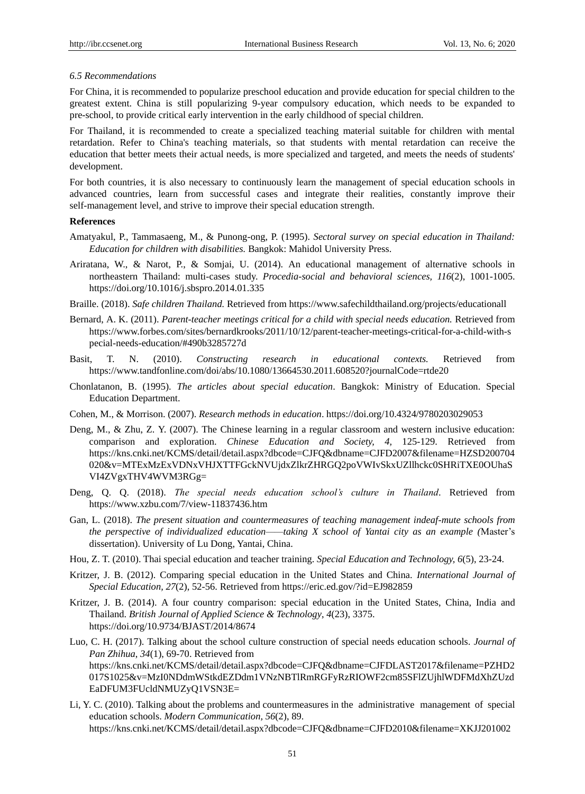## *6.5 Recommendations*

For China, it is recommended to popularize preschool education and provide education for special children to the greatest extent. China is still popularizing 9-year compulsory education, which needs to be expanded to pre-school, to provide critical early intervention in the early childhood of special children.

For Thailand, it is recommended to create a specialized teaching material suitable for children with mental retardation. Refer to China's teaching materials, so that students with mental retardation can receive the education that better meets their actual needs, is more specialized and targeted, and meets the needs of students' development.

For both countries, it is also necessary to continuously learn the management of special education schools in advanced countries, learn from successful cases and integrate their realities, constantly improve their self-management level, and strive to improve their special education strength.

#### **References**

- Amatyakul, P., Tammasaeng, M., & Punong-ong, P. (1995). *Sectoral survey on special education in Thailand: Education for children with disabilities.* Bangkok: Mahidol University Press.
- Ariratana, W., & Narot, P., & Somjai, U. (2014). An educational management of alternative schools in northeastern Thailand: multi-cases study. *Procedia-social and behavioral sciences, 116*(2), 1001-1005. https://doi.org/10.1016/j.sbspro.2014.01.335
- Braille. (2018). *Safe children Thailand.* Retrieved fro[m https://www.safechi](https://www.safech/)ldthailand.org/projects/educationall
- Bernard, A. K. (2011). *Parent-teacher meetings critical for a child with special needs education.* Retrieved from [https://www.forbes.com/sites/bernardkrooks/2011/](https://www.forbes.com/sites/bernardkrooks/2011)10/12/parent-teacher-meetings-critical-for-a-child-with-s pecial-needs-education/#490b3285727d
- Basit, T. N. (2010). *Constructing research in educational contexts.* Retrieved from <https://www.tandfonline.com/doi/abs/10.1080/13664530.2011.608520?journalCode=rtde20>
- Chonlatanon, B. (1995). *The articles about special education*. Bangkok: Ministry of Education. Special Education Department.
- Cohen, M., & Morrison. (2007). *Research methods in education*. https://doi.org/10.4324/9780203029053
- Deng, M., & Zhu, Z. Y. (2007). The Chinese learning in a regular classroom and western inclusive education: comparison and exploration. *Chinese Education and Society, 4,* 125-129. Retrieved from [https://kns.cnki.net/KCMS/detail/detail.aspx?dbcode=CJFQ&dbname=CJFD2007&filename=HZSD200704](https://kns.cnki.net/KCMS/detail/detail.aspx?dbcode=CJFQ&dbname=CJFD2007&filename=HZSD200704020&v=MTExMzExVDNxVHJXTTFGckNVUjdxZlkrZHRGQ2poVWIvSkxUZllhckc0SHRiTXE0OUhaSVI4ZVgxTHV4WVM3RGg=) [020&v=MTExMzExVDNxVHJXTTFGckNVUjdxZlkrZHRGQ2poVWIvSkxUZllhckc0SHRiTXE0OUhaS](https://kns.cnki.net/KCMS/detail/detail.aspx?dbcode=CJFQ&dbname=CJFD2007&filename=HZSD200704020&v=MTExMzExVDNxVHJXTTFGckNVUjdxZlkrZHRGQ2poVWIvSkxUZllhckc0SHRiTXE0OUhaSVI4ZVgxTHV4WVM3RGg=) [VI4ZVgxTHV4WVM3RGg=](https://kns.cnki.net/KCMS/detail/detail.aspx?dbcode=CJFQ&dbname=CJFD2007&filename=HZSD200704020&v=MTExMzExVDNxVHJXTTFGckNVUjdxZlkrZHRGQ2poVWIvSkxUZllhckc0SHRiTXE0OUhaSVI4ZVgxTHV4WVM3RGg=)
- Deng, Q. Q. (2018). *The special needs education school's culture in Thailand*. Retrieved from https://www.xzbu.com/7/view-11837436.htm
- Gan, L. (2018). *The present situation and countermeasures of teaching management indeaf-mute schools from the perspective of individualized education——taking X school of Yantai city as an example (*Master's dissertation). University of Lu Dong, Yantai, China.
- Hou, Z. T. (2010). Thai special education and teacher training. *Special Education and Technology, 6*(5), 23-24.
- Kritzer, J. B. (2012). Comparing special education in the United States and China. *International Journal of Special Education, 27*(2), 52-56. Retrieved from<https://eric.ed.gov/?id=EJ982859>
- Kritzer, J. B. (2014). A four country comparison: special education in the United States, China, India and Thailand. *British Journal of Applied Science & Technology*, *4*(23), 3375. https://doi.org/10.9734/BJAST/2014/8674
- Luo, C. H. (2017). Talking about the school culture construction of special needs education schools*. Journal of Pan Zhihua*, *34*(1), 69-70. Retrieved from [https://kns.cnki.net/KCMS/detail/detail.aspx?dbcode=CJFQ&dbname=CJFDLAST2017&filename=PZHD2](https://kns.cnki.net/KCMS/detail/detail.aspx?dbcode=CJFQ&dbname=CJFDLAST2017&filename=PZHD2017S1025&v=MzI0NDdmWStkdEZDdm1VNzNBTlRmRGFyRzRIOWF2cm85SFlZUjhlWDFMdXhZUzdEaDFUM3FUcldNMUZyQ1VSN3E=) [017S1025&v=MzI0NDdmWStkdEZDdm1VNzNBTlRmRGFyRzRIOWF2cm85SFlZUjhlWDFMdXhZUzd](https://kns.cnki.net/KCMS/detail/detail.aspx?dbcode=CJFQ&dbname=CJFDLAST2017&filename=PZHD2017S1025&v=MzI0NDdmWStkdEZDdm1VNzNBTlRmRGFyRzRIOWF2cm85SFlZUjhlWDFMdXhZUzdEaDFUM3FUcldNMUZyQ1VSN3E=) [EaDFUM3FUcldNMUZyQ1VSN3E=](https://kns.cnki.net/KCMS/detail/detail.aspx?dbcode=CJFQ&dbname=CJFDLAST2017&filename=PZHD2017S1025&v=MzI0NDdmWStkdEZDdm1VNzNBTlRmRGFyRzRIOWF2cm85SFlZUjhlWDFMdXhZUzdEaDFUM3FUcldNMUZyQ1VSN3E=)
- Li, Y. C. (2010). Talking about the problems and countermeasures in the administrative management of special education schools. *Modern Communication, 56*(2), 89. [https://kns.cnki.net/KCMS/detail/detail.aspx?dbcode=CJFQ&dbname=CJFD2010&filename=XKJJ201002](https://kns.cnki.net/KCMS/detail/detail.aspx?dbcode=CJFQ&dbname=CJFD2010&filename=XKJJ201002056&v=MDQzODFTYkJaTEc0SDlITXJZOUFZb1I4ZVgxTHV4WVM3RGgxVDNxVHJXTTFGckNVUjdxZlkrZHRGQ3ZtVmIzTVA=)